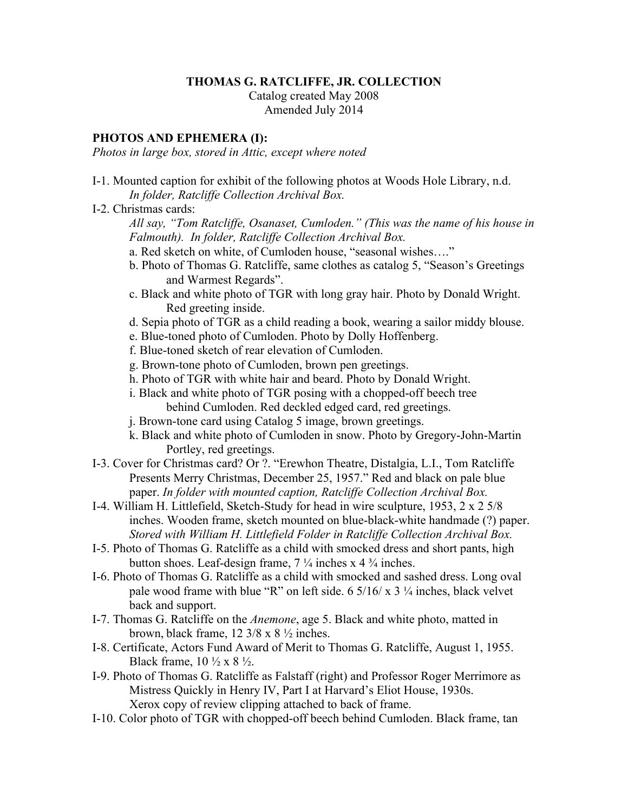## **THOMAS G. RATCLIFFE, JR. COLLECTION**

Catalog created May 2008 Amended July 2014

## **PHOTOS AND EPHEMERA (I):**

*Photos in large box, stored in Attic, except where noted*

- I-1. Mounted caption for exhibit of the following photos at Woods Hole Library, n.d. *In folder, Ratcliffe Collection Archival Box.*
- I-2. Christmas cards:

*All say, "Tom Ratcliffe, Osanaset, Cumloden." (This was the name of his house in Falmouth). In folder, Ratcliffe Collection Archival Box.*

- a. Red sketch on white, of Cumloden house, "seasonal wishes…."
- b. Photo of Thomas G. Ratcliffe, same clothes as catalog 5, "Season's Greetings and Warmest Regards".
- c. Black and white photo of TGR with long gray hair. Photo by Donald Wright. Red greeting inside.
- d. Sepia photo of TGR as a child reading a book, wearing a sailor middy blouse.
- e. Blue-toned photo of Cumloden. Photo by Dolly Hoffenberg.
- f. Blue-toned sketch of rear elevation of Cumloden.
- g. Brown-tone photo of Cumloden, brown pen greetings.
- h. Photo of TGR with white hair and beard. Photo by Donald Wright.
- i. Black and white photo of TGR posing with a chopped-off beech tree behind Cumloden. Red deckled edged card, red greetings.
- j. Brown-tone card using Catalog 5 image, brown greetings.
- k. Black and white photo of Cumloden in snow. Photo by Gregory-John-Martin Portley, red greetings.
- I-3. Cover for Christmas card? Or ?. "Erewhon Theatre, Distalgia, L.I., Tom Ratcliffe Presents Merry Christmas, December 25, 1957." Red and black on pale blue paper. *In folder with mounted caption, Ratcliffe Collection Archival Box.*
- I-4. William H. Littlefield, Sketch-Study for head in wire sculpture, 1953, 2 x 2 5/8 inches. Wooden frame, sketch mounted on blue-black-white handmade (?) paper. *Stored with William H. Littlefield Folder in Ratcliffe Collection Archival Box.*
- I-5. Photo of Thomas G. Ratcliffe as a child with smocked dress and short pants, high button shoes. Leaf-design frame,  $7\frac{1}{4}$  inches x 4  $\frac{3}{4}$  inches.
- I-6. Photo of Thomas G. Ratcliffe as a child with smocked and sashed dress. Long oval pale wood frame with blue "R" on left side. 6  $5/16/x$  3  $\frac{1}{4}$  inches, black velvet back and support.
- I-7. Thomas G. Ratcliffe on the *Anemone*, age 5. Black and white photo, matted in brown, black frame, 12 3/8 x 8 ½ inches.
- I-8. Certificate, Actors Fund Award of Merit to Thomas G. Ratcliffe, August 1, 1955. Black frame,  $10 \frac{1}{2} \times 8 \frac{1}{2}$ .
- I-9. Photo of Thomas G. Ratcliffe as Falstaff (right) and Professor Roger Merrimore as Mistress Quickly in Henry IV, Part I at Harvard's Eliot House, 1930s. Xerox copy of review clipping attached to back of frame.
- I-10. Color photo of TGR with chopped-off beech behind Cumloden. Black frame, tan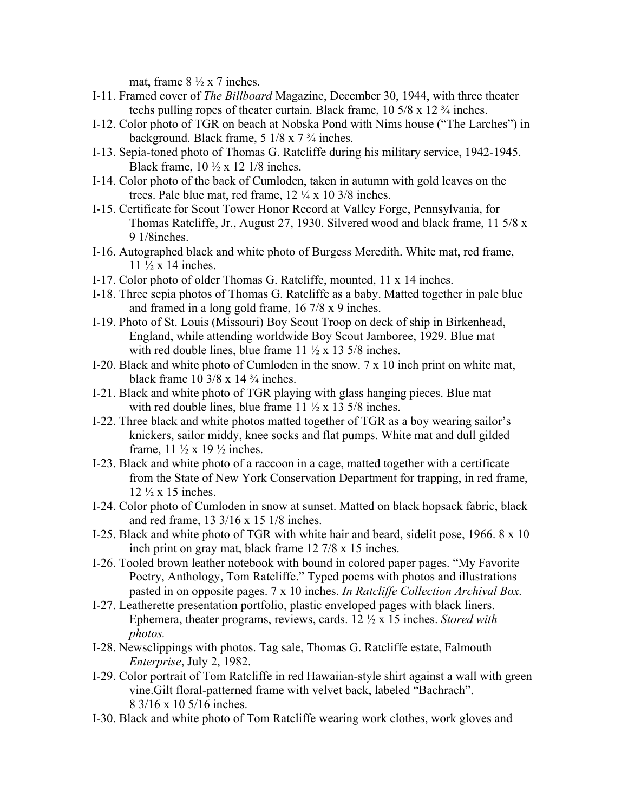mat, frame  $8\frac{1}{2} \times 7$  inches.

- I-11. Framed cover of *The Billboard* Magazine, December 30, 1944, with three theater techs pulling ropes of theater curtain. Black frame,  $10\frac{5}{8} \times 12\frac{3}{4}$  inches.
- I-12. Color photo of TGR on beach at Nobska Pond with Nims house ("The Larches") in background. Black frame,  $5 \frac{1}{8} \times 7 \frac{3}{4}$  inches.
- I-13. Sepia-toned photo of Thomas G. Ratcliffe during his military service, 1942-1945. Black frame,  $10 \frac{1}{2}$  x 12 1/8 inches.
- I-14. Color photo of the back of Cumloden, taken in autumn with gold leaves on the trees. Pale blue mat, red frame, 12 ¼ x 10 3/8 inches.
- I-15. Certificate for Scout Tower Honor Record at Valley Forge, Pennsylvania, for Thomas Ratcliffe, Jr., August 27, 1930. Silvered wood and black frame, 11 5/8 x 9 1/8inches.
- I-16. Autographed black and white photo of Burgess Meredith. White mat, red frame, 11 ½ x 14 inches.
- I-17. Color photo of older Thomas G. Ratcliffe, mounted, 11 x 14 inches.
- I-18. Three sepia photos of Thomas G. Ratcliffe as a baby. Matted together in pale blue and framed in a long gold frame, 16 7/8 x 9 inches.
- I-19. Photo of St. Louis (Missouri) Boy Scout Troop on deck of ship in Birkenhead, England, while attending worldwide Boy Scout Jamboree, 1929. Blue mat with red double lines, blue frame  $11 \frac{1}{2} \times 135\frac{1}{8}$  inches.
- I-20. Black and white photo of Cumloden in the snow. 7 x 10 inch print on white mat, black frame  $10\frac{3}{8} \times 14\frac{3}{4}$  inches.
- I-21. Black and white photo of TGR playing with glass hanging pieces. Blue mat with red double lines, blue frame  $11 \frac{1}{2}$  x 13 5/8 inches.
- I-22. Three black and white photos matted together of TGR as a boy wearing sailor's knickers, sailor middy, knee socks and flat pumps. White mat and dull gilded frame,  $11 \frac{1}{2}$  x  $19 \frac{1}{2}$  inches.
- I-23. Black and white photo of a raccoon in a cage, matted together with a certificate from the State of New York Conservation Department for trapping, in red frame,  $12 \frac{1}{2}$  x 15 inches.
- I-24. Color photo of Cumloden in snow at sunset. Matted on black hopsack fabric, black and red frame, 13 3/16 x 15 1/8 inches.
- I-25. Black and white photo of TGR with white hair and beard, sidelit pose, 1966. 8 x 10 inch print on gray mat, black frame 12 7/8 x 15 inches.
- I-26. Tooled brown leather notebook with bound in colored paper pages. "My Favorite Poetry, Anthology, Tom Ratcliffe." Typed poems with photos and illustrations pasted in on opposite pages. 7 x 10 inches. *In Ratcliffe Collection Archival Box.*
- I-27. Leatherette presentation portfolio, plastic enveloped pages with black liners. Ephemera, theater programs, reviews, cards. 12 ½ x 15 inches. *Stored with photos.*
- I-28. Newsclippings with photos. Tag sale, Thomas G. Ratcliffe estate, Falmouth *Enterprise*, July 2, 1982.
- I-29. Color portrait of Tom Ratcliffe in red Hawaiian-style shirt against a wall with green vine.Gilt floral-patterned frame with velvet back, labeled "Bachrach". 8 3/16 x 10 5/16 inches.
- I-30. Black and white photo of Tom Ratcliffe wearing work clothes, work gloves and